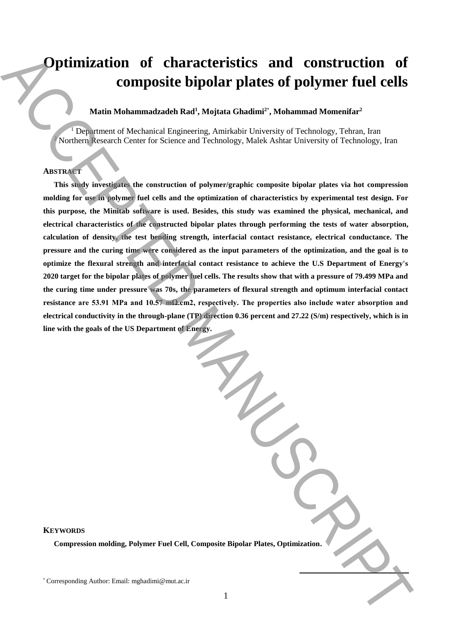# **Optimization of characteristics and construction of composite bipolar plates of polymer fuel cells**

# **Matin Mohammadzadeh Rad<sup>1</sup> , Mojtata Ghadimi<sup>2</sup>**\* **, Mohammad Momenifar<sup>2</sup>**

<sup>1</sup> Department of Mechanical Engineering, Amirkabir University of Technology, Tehran, Iran <sup>2</sup> Northern Research Center for Science and Technology, Malek Ashtar University of Technology, Iran

## **ABSTRACT**

**This study investigates the construction of polymer/graphic composite bipolar plates via hot compression molding for use in polymer fuel cells and the optimization of characteristics by experimental test design. For this purpose, the Minitab software is used. Besides, this study was examined the physical, mechanical, and electrical characteristics of the constructed bipolar plates through performing the tests of water absorption, calculation of density, the test bending strength, interfacial contact resistance, electrical conductance. The pressure and the curing time were considered as the input parameters of the optimization, and the goal is to optimize the flexural strength and interfacial contact resistance to achieve the U.S Department of Energy's 2020 target for the bipolar plates of polymer fuel cells. The results show that with a pressure of 79.499 MPa and the curing time under pressure was 70s, the parameters of flexural strength and optimum interfacial contact resistance are 53.91 MPa and 10.57 mΩ.cm2, respectively. The properties also include water absorption and electrical conductivity in the through-plane (TP) direction 0.36 percent and 27.22 (S/m) respectively, which is in line with the goals of the US Department of Energy. Defininization of characteristics and construction of**<br>
Youth Mohammadzada Rad<sup>2</sup>, Minjuta Gradimi<sup>2</sup>, Mohammad Momanitar<sup>2</sup><br>
Youthor: Example Author: Email: Corresponding Authorities (*maximized authorities* and *Corres* 

## **KEYWORDS**

**Compression molding, Polymer Fuel Cell, Composite Bipolar Plates, Optimization.**

**.**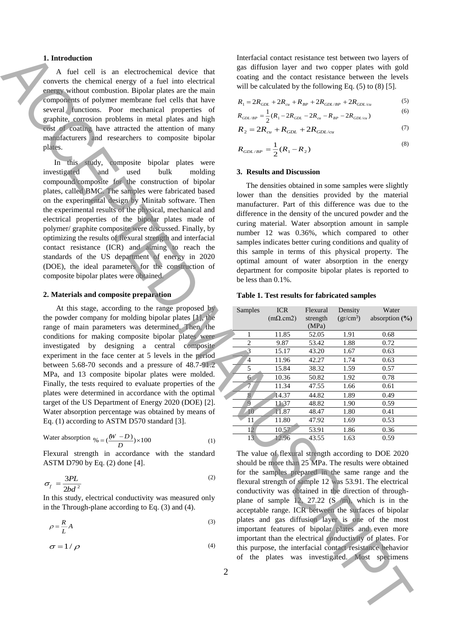#### **1. Introduction**

# **2. Materials and composite preparation**

Water absorption 
$$
\% = \left(\frac{(W - D)}{D}\right) \times 100
$$
 (1)

$$
\sigma_f = \frac{3PL}{2bd^2} \tag{2}
$$

$$
\rho = \frac{R}{L} A \tag{3}
$$

$$
\sigma = 1/\rho \tag{4}
$$

will be calculated by the following Eq. (5) to (8) [5].  
\n
$$
R_1 = 2R_{GDL} + 2R_{cu} + R_{BP} + 2R_{GDL/BP} + 2R_{GDL/cu}
$$
\n(5)

$$
R_{GDL/BP} = \frac{1}{2}(R_1 - 2R_{GDL} - 2R_{cu} - R_{BP} - 2R_{GDL/cu})
$$
\n(6)

$$
R_2 = 2R_{cu} + R_{GDL} + 2R_{GDL/cu}
$$
 (7)

$$
R_{GDL/BP} = \frac{1}{2}(R_1 - R_2)
$$
\n(8)

#### **3. Results and Discussion**

#### **Table 1. Test results for fabricated samples**

| 1. Introduction<br>A fuel cell is an electrochemical device that<br>converts the chemical energy of a fuel into electrical<br>energy without combustion. Bipolar plates are the main<br>components of polymer membrane fuel cells that have<br>several functions. Poor mechanical properties of<br>graphite, corrosion problems in metal plates and high<br>cost of coating have attracted the attention of many<br>manufacturers and researchers to composite bipolar                                                                                                                                                                                                                                                                                                                                                  | Interfacial contact resistance test between two layers of<br>gas diffusion layer and two copper plates with gold<br>coating and the contact resistance between the levels<br>will be calculated by the following Eq. $(5)$ to $(8)$ [5].<br>(5)<br>$R_1 = 2R_{GDL} + 2R_{cu} + R_{BP} + 2R_{GDL/BP} + 2R_{GDL/cu}$<br>(6)<br>$R_{GDL/BP} = \frac{1}{2}(R_1 - 2R_{GDL} - 2R_{cu} - R_{BP} - 2R_{GDL/cu})$<br>(7)<br>$R_2 = 2R_{cu} + R_{GDL} + 2R_{GDL/cu}$<br>(8)                                                                                                                                                                                                                                                    |
|-------------------------------------------------------------------------------------------------------------------------------------------------------------------------------------------------------------------------------------------------------------------------------------------------------------------------------------------------------------------------------------------------------------------------------------------------------------------------------------------------------------------------------------------------------------------------------------------------------------------------------------------------------------------------------------------------------------------------------------------------------------------------------------------------------------------------|----------------------------------------------------------------------------------------------------------------------------------------------------------------------------------------------------------------------------------------------------------------------------------------------------------------------------------------------------------------------------------------------------------------------------------------------------------------------------------------------------------------------------------------------------------------------------------------------------------------------------------------------------------------------------------------------------------------------|
| plates.                                                                                                                                                                                                                                                                                                                                                                                                                                                                                                                                                                                                                                                                                                                                                                                                                 | $R_{GDL/BP} = \frac{1}{2}(R_1 - R_2)$                                                                                                                                                                                                                                                                                                                                                                                                                                                                                                                                                                                                                                                                                |
| In this study, composite bipolar plates were<br>bulk<br>investigated<br>and<br>used<br>molding<br>compound/composite for the construction of bipolar<br>plates, called BMC. The samples were fabricated based<br>on the experimental design by Minitab software. Then<br>the experimental results of the physical, mechanical and<br>electrical properties of the bipolar plates made of<br>polymer/ graphite composite were discussed. Finally, by<br>optimizing the results of flexural strength and interfacial<br>contact resistance (ICR) and aiming to reach the<br>standards of the US department of energy in 2020<br>(DOE), the ideal parameters for the construction of<br>composite bipolar plates were obtained.                                                                                            | 3. Results and Discussion<br>The densities obtained in some samples were slightly<br>lower than the densities provided by the material<br>manufacturer. Part of this difference was due to the<br>difference in the density of the uncured powder and the<br>curing material. Water absorption amount in sample<br>number 12 was 0.36%, which compared to other<br>samples indicates better curing conditions and quality of<br>this sample in terms of this physical property. The<br>optimal amount of water absorption in the energy<br>department for composite bipolar plates is reported to<br>be less than 0.1%.                                                                                              |
| 2. Materials and composite preparation                                                                                                                                                                                                                                                                                                                                                                                                                                                                                                                                                                                                                                                                                                                                                                                  | Table 1. Test results for fabricated samples                                                                                                                                                                                                                                                                                                                                                                                                                                                                                                                                                                                                                                                                         |
| At this stage, according to the range proposed by<br>the powder company for molding bipolar plates [1], the<br>range of main parameters was determined. Then, the<br>conditions for making composite bipolar plates were<br>investigated by designing a central composite<br>experiment in the face center at 5 levels in the period<br>between 5.68-70 seconds and a pressure of 48.7-91.2<br>MPa, and 13 composite bipolar plates were molded.<br>Finally, the tests required to evaluate properties of the<br>plates were determined in accordance with the optimal<br>target of the US Department of Energy 2020 (DOE) [2].<br>Water absorption percentage was obtained by means of<br>Eq. (1) according to ASTM D570 standard [3].<br>Water absorption $\phi_0 = \left(\frac{(W - D)}{D}\right) \times 100$<br>(1) | <b>ICR</b><br>Flexural<br>Density<br>Water<br>Samples<br>$(gr/cm^3)$<br>absorption $(\% )$<br>$(m\Omega.cm2)$<br>strength<br>(MPa)<br>11.85<br>1.91<br>52.05<br>0.68<br>1<br>2<br>0.72<br>9.87<br>53.42<br>1.88<br>$\overline{3}$<br>15.17<br>43.20<br>1.67<br>0.63<br>$\overline{4}$<br>42.27<br>0.63<br>11.96<br>1.74<br>5<br>15.84<br>38.32<br>1.59<br>0.57<br>6 <sup>1</sup><br>10.36<br>50.82<br>1.92<br>0.78<br>7<br>47.55<br>11.34<br>1.66<br>0.61<br>8 <sub>1</sub><br>14.37<br>44.82<br>1.89<br>0.49<br>9<br>11.37<br>48.82<br>1.90<br>0.59<br>10<br>11.87<br>48.47<br>1.80<br>0.41<br>0.53<br>11<br>11.80<br>47.92<br>1.69<br>12<br>10.57<br>53.91<br>1.86<br>0.36<br>13<br>0.59<br>12.96<br>1.63<br>43.55 |
| Flexural strength in accordance with the standard<br>ASTM D790 by Eq. (2) done [4].<br>(2)<br>$\sigma_f = \frac{3PL}{2bd^2}$<br>In this study, electrical conductivity was measured only<br>in the Through-plane according to Eq. $(3)$ and $(4)$ .<br>(3)<br>$\rho = \frac{R}{L} A$<br>$\sigma = 1/\rho$<br>(4)<br>$\overline{2}$                                                                                                                                                                                                                                                                                                                                                                                                                                                                                      | The value of flexural strength according to DOE 2020<br>should be more than 25 MPa. The results were obtained<br>for the samples prepared in the same range and the<br>flexural strength of sample 12 was 53.91. The electrical<br>conductivity was obtained in the direction of through-<br>plane of sample 12, 27.22 $(S/m)$ , which is in the<br>acceptable range. ICR between the surfaces of bipolar<br>plates and gas diffusion layer is one of the most<br>important features of bipolar plates and even more<br>important than the electrical conductivity of plates. For<br>this purpose, the interfacial contact resistance behavior<br>of the plates was investigated. Most specimens                     |